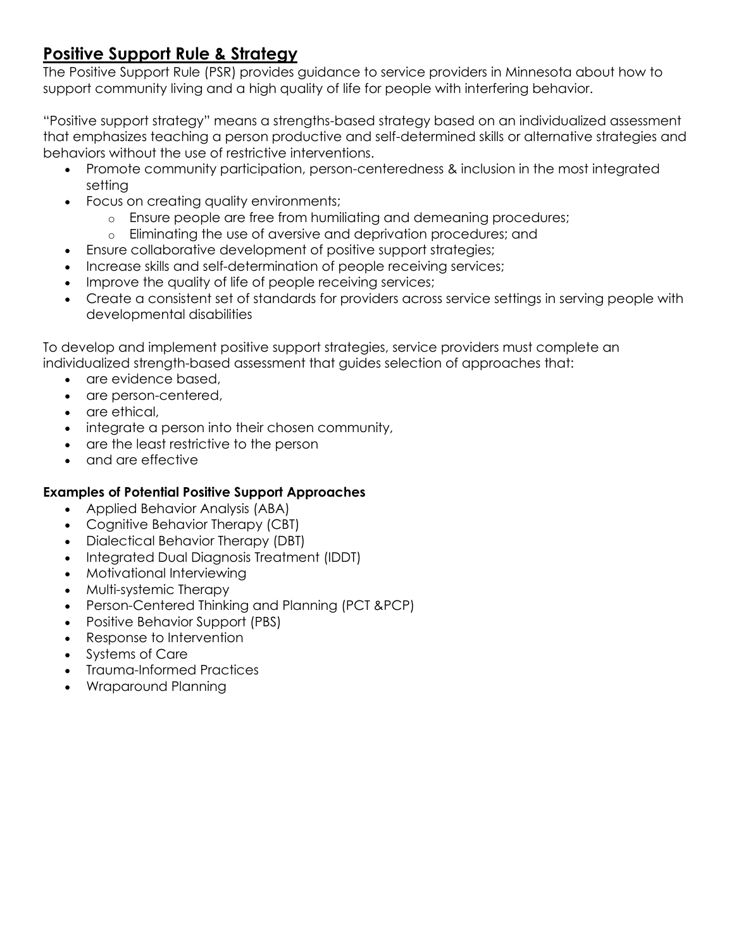# **Positive Support Rule & Strategy**

The Positive Support Rule (PSR) provides guidance to service providers in Minnesota about how to support community living and a high quality of life for people with interfering behavior.

"Positive support strategy" means a strengths-based strategy based on an individualized assessment that emphasizes teaching a person productive and self-determined skills or alternative strategies and behaviors without the use of restrictive interventions.

- Promote community participation, person-centeredness & inclusion in the most integrated setting
- Focus on creating quality environments;
	- o Ensure people are free from humiliating and demeaning procedures;
	- o Eliminating the use of aversive and deprivation procedures; and
- Ensure collaborative development of positive support strategies;
- Increase skills and self-determination of people receiving services;
- Improve the quality of life of people receiving services;
- Create a consistent set of standards for providers across service settings in serving people with developmental disabilities

To develop and implement positive support strategies, service providers must complete an individualized strength-based assessment that guides selection of approaches that:

- are evidence based.
- are person-centered,
- are ethical,
- integrate a person into their chosen community,
- are the least restrictive to the person
- and are effective

#### **Examples of Potential Positive Support Approaches**

- Applied Behavior Analysis (ABA)
- Cognitive Behavior Therapy (CBT)
- Dialectical Behavior Therapy (DBT)
- Integrated Dual Diagnosis Treatment (IDDT)
- Motivational Interviewing
- Multi-systemic Therapy
- Person-Centered Thinking and Planning (PCT &PCP)
- Positive Behavior Support (PBS)
- Response to Intervention
- Systems of Care
- Trauma-Informed Practices
- Wraparound Planning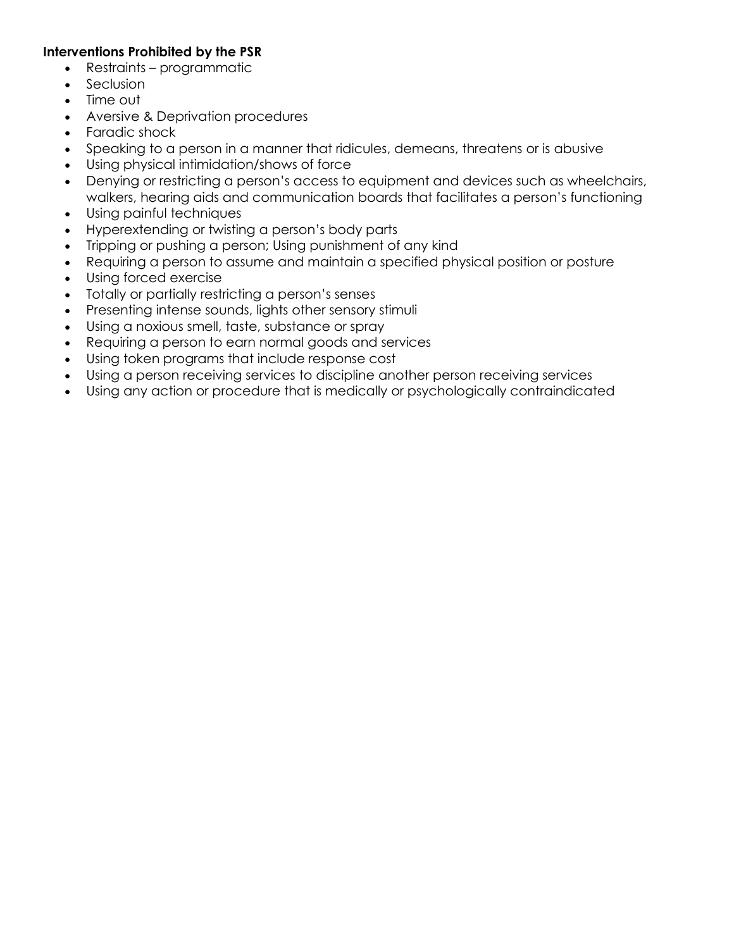#### **Interventions Prohibited by the PSR**

- Restraints programmatic
- Seclusion
- Time out
- Aversive & Deprivation procedures
- Faradic shock
- Speaking to a person in a manner that ridicules, demeans, threatens or is abusive
- Using physical intimidation/shows of force
- Denying or restricting a person's access to equipment and devices such as wheelchairs, walkers, hearing aids and communication boards that facilitates a person's functioning
- Using painful techniques
- Hyperextending or twisting a person's body parts
- Tripping or pushing a person; Using punishment of any kind
- Requiring a person to assume and maintain a specified physical position or posture
- Using forced exercise
- Totally or partially restricting a person's senses
- Presenting intense sounds, lights other sensory stimuli
- Using a noxious smell, taste, substance or spray
- Requiring a person to earn normal goods and services
- Using token programs that include response cost
- Using a person receiving services to discipline another person receiving services
- Using any action or procedure that is medically or psychologically contraindicated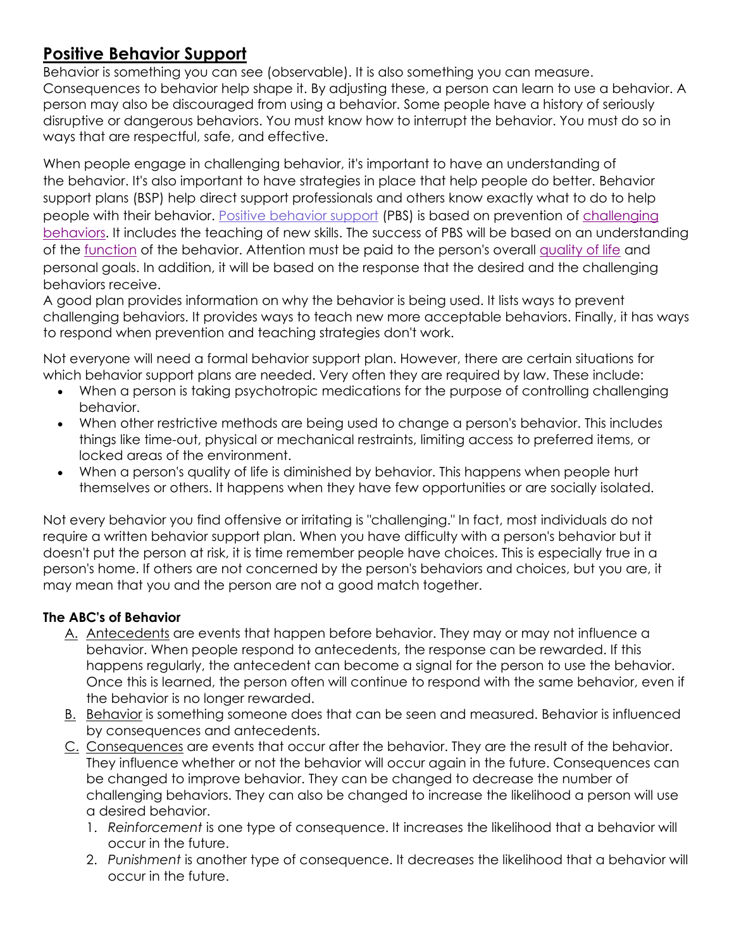# **Positive Behavior Support**

Behavior is something you can see (observable). It is also something you can measure. Consequences to behavior help shape it. By adjusting these, a person can learn to use a behavior. A person may also be discouraged from using a behavior. Some people have a history of seriously disruptive or dangerous behaviors. You must know how to interrupt the behavior. You must do so in ways that are respectful, safe, and effective.

When people engage in [challenging](https://www.collegeofdirectsupport.com/Content/Sertoma/tn736mastgloss.htm#Challenging%20Behavior) behavior, it's important to have an understanding of the [behavior.](https://www.collegeofdirectsupport.com/Content/Sertoma/tn736mastgloss.htm#Behavior) It's also important to have strategies in place that help people do better. [Behavior](https://www.collegeofdirectsupport.com/Content/Sertoma/tn736mastgloss.htm#Behavior%20Support%20Plans) [support](https://www.collegeofdirectsupport.com/Content/Sertoma/tn736mastgloss.htm#Behavior%20Support%20Plans) plans (BSP) help direct support professionals and others know exactly what to do to help people with their [behavior](https://www.collegeofdirectsupport.com/Content/Sertoma/tn736mastgloss.htm#Positive%20Behavior%20Supports). Positive behavior support (PBS) is based on prevention of [challenging](https://www.collegeofdirectsupport.com/Content/Sertoma/tn736mastgloss.htm#Challenging%20Behavior) [behaviors.](https://www.collegeofdirectsupport.com/Content/Sertoma/tn736mastgloss.htm#Challenging%20Behavior) It includes the teaching of new skills. The success of PBS will be based on an understanding of the [function](https://www.collegeofdirectsupport.com/Content/Sertoma/tn736mastgloss.htm#Function) of the behavior. Attention must be paid to the person's overall [quality](https://www.collegeofdirectsupport.com/Content/Sertoma/tn736mastgloss.htm#Quality%20of%20Life) of life and personal goals. In addition, it will be based on the response that the desired and the challenging behaviors receive.

A good plan provides information on why the behavior is being used. It lists ways to prevent challenging behaviors. It provides ways to teach new more acceptable behaviors. Finally, it has ways to respond when prevention and teaching strategies don't work.

Not everyone will need a formal behavior support plan. However, there are certain situations for which behavior support plans are needed. Very often they are required by law. These include:

- When a person is taking [psychotropic](https://www.collegeofdirectsupport.com/Content/Sertoma/tn736mastgloss.htm#Psychotropic%20Medication) medications for the purpose of controlling challenging behavior.
- When other restrictive methods are being used to change a person's behavior. This includes things like time-out, physical or mechanical restraints, limiting access to preferred items, or locked areas of the environment.
- When a person's quality of life is diminished by behavior. This happens when people hurt themselves or others. It happens when they have few opportunities or are socially isolated.

Not every behavior you find offensive or irritating is "challenging." In fact, most individuals do not require a written behavior support plan. When you have difficulty with a person's behavior but it doesn't put the person at risk, it is time remember people have choices. This is especially true in a person's home. If others are not concerned by the person's behaviors and choices, but you are, it may mean that you and the person are not a good match together.

### **The ABC's of Behavior**

- A. Antecedents are events that happen before behavior. They may or may not influence a behavior. When people respond to antecedents, the response can be rewarded. If this happens regularly, the antecedent can become a signal for the person to use the behavior. Once this is learned, the person often will continue to respond with the same behavior, even if the behavior is no longer rewarded.
- B. Behavior is something someone does that can be seen and measured. Behavior is influenced by consequences and antecedents.
- C. Consequences are events that occur after the behavior. They are the result of the behavior. They influence whether or not the behavior will occur again in the future. Consequences can be changed to improve behavior. They can be changed to decrease the number of challenging behaviors. They can also be changed to increase the likelihood a person will use a desired behavior.
	- 1. *[Reinforcement](https://www.collegeofdirectsupport.com/Content/Sertoma/tn736mastgloss.htm#Reinforcement)* is one type of consequence. It increases the likelihood that a behavior will occur in the future.
	- 2. *[Punishment](https://www.collegeofdirectsupport.com/Content/Sertoma/tn736mastgloss.htm#Punishment)* is another type of consequence. It decreases the likelihood that a behavior will occur in the future.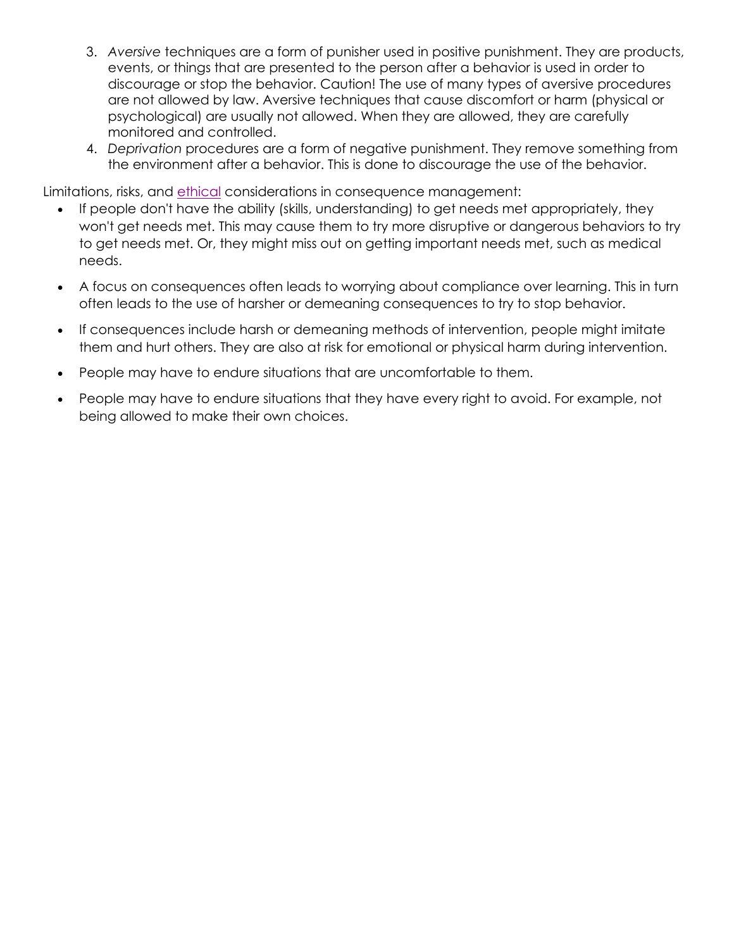- 3. *[Aversive](https://www.collegeofdirectsupport.com/Content/Sertoma/tn736mastgloss.htm#Aversive)* techniques are a form of punisher used in positive punishment. They are products, events, or things that are presented to the person after a behavior is used in order to discourage or stop the behavior. Caution! The use of many types of aversive procedures are not allowed by law. Aversive techniques that cause discomfort or harm (physical or psychological) are usually not allowed. When they are allowed, they are carefully monitored and controlled.
- 4. *[Deprivation](https://www.collegeofdirectsupport.com/Content/Sertoma/tn736mastgloss.htm#Deprivation)* procedures are a form of negative punishment. They remove something from the environment after a behavior. This is done to discourage the use of the behavior.

Limitations, risks, and [ethical](https://www.collegeofdirectsupport.com/Content/Sertoma/tn736mastgloss.htm#Ethical) considerations in consequence management:

- If people don't have the ability (skills, understanding) to get needs met appropriately, they won't get needs met. This may cause them to try more disruptive or dangerous behaviors to try to get needs met. Or, they might miss out on getting important needs met, such as medical needs.
- A focus on consequences often leads to worrying about compliance over learning. This in turn often leads to the use of harsher or demeaning consequences to try to stop behavior.
- If consequences include harsh or demeaning methods of intervention, people might imitate them and hurt others. They are also at risk for emotional or physical harm during intervention.
- People may have to endure situations that are uncomfortable to them.
- People may have to endure situations that they have every right to avoid. For example, not being allowed to make their own choices.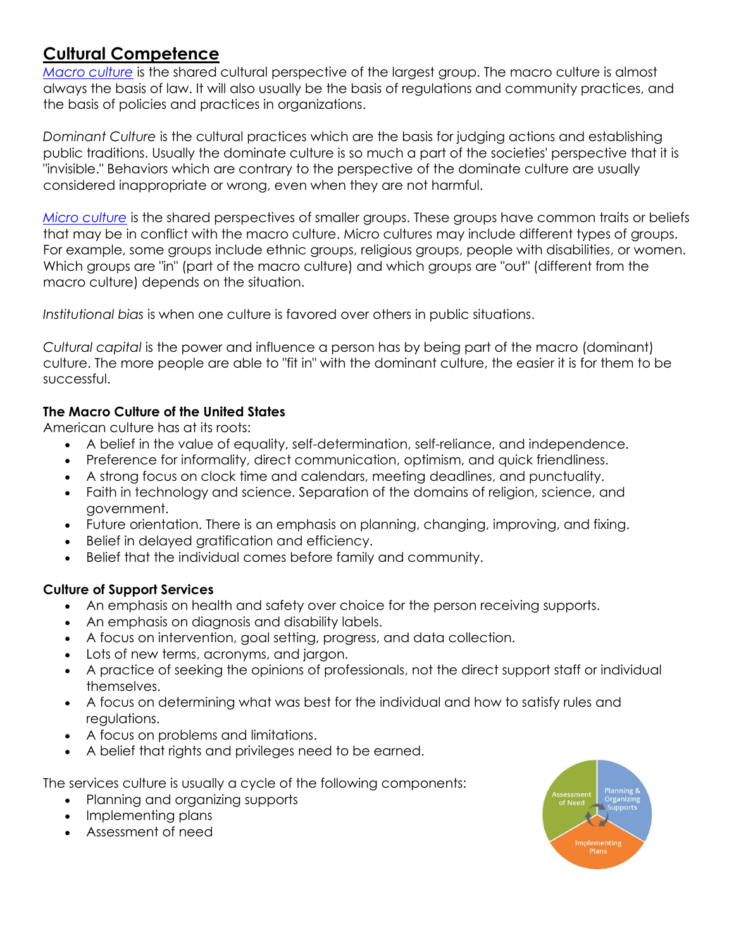# **Cultural Competence**

*Macro [culture](https://www.collegeofdirectsupport.com/Content/Sertoma/tn736mastgloss.htm#macro%20culture)* is the shared cultural perspective of the largest group. The macro culture is almost always the basis of law. It will also usually be the basis of regulations and community practices, and the basis of policies and practices in organizations.

*Dominant Culture* is the cultural practices which are the basis for judging actions and establishing public traditions. Usually the dominate culture is so much a part of the societies' perspective that it is "invisible." Behaviors which are contrary to the perspective of the dominate culture are usually considered inappropriate or wrong, even when they are not harmful.

*Micro [culture](https://www.collegeofdirectsupport.com/Content/Sertoma/tn736mastgloss.htm#Micro%20culture)* is the shared perspectives of smaller groups. These groups have common traits or beliefs that may be in conflict with the macro culture. Micro cultures may include different types of groups. For example, some groups include ethnic groups, religious groups, people with disabilities, or women. Which groups are "in" (part of the macro culture) and which groups are "out" (different from the macro culture) depends on the situation.

*Institutional bias* is when one culture is favored over others in public situations.

*Cultural capital* is the power and influence a person has by being part of the macro (dominant) culture. The more people are able to "fit in" with the dominant culture, the easier it is for them to be successful.

## **The Macro Culture of the United States**

American culture has at its roots:

- A belief in the value of equality, self-determination, self-reliance, and independence.
- Preference for informality, direct communication, optimism, and quick friendliness.
- A strong focus on clock time and calendars, meeting deadlines, and punctuality.
- Faith in technology and science. Separation of the domains of religion, science, and government.
- Future orientation. There is an emphasis on planning, changing, improving, and fixing.
- Belief in delayed gratification and efficiency.
- Belief that the individual comes before family and community.

### **Culture of Support Services**

- An emphasis on health and safety over choice for the person receiving supports.
- An emphasis on diagnosis and disability labels.
- A focus on intervention, goal setting, progress, and data collection.
- Lots of new terms, acronyms, and jargon.
- A practice of seeking the opinions of professionals, not the direct support staff or individual themselves.
- A focus on determining what was best for the individual and how to satisfy rules and regulations.
- A focus on problems and limitations.
- A belief that rights and privileges need to be earned.

The services culture is usually a cycle of the following components:

- Planning and organizing supports
- Implementing plans
- Assessment of need

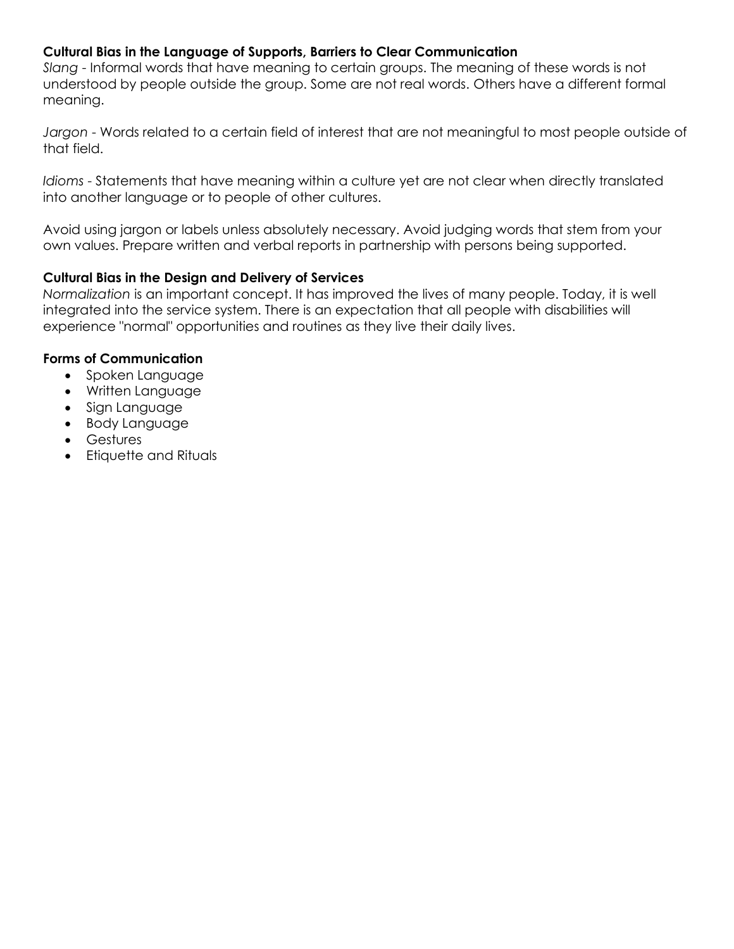### **Cultural Bias in the Language of Supports, Barriers to Clear Communication**

*Slang* - Informal words that have meaning to certain groups. The meaning of these words is not understood by people outside the group. Some are not real words. Others have a different formal meaning.

*Jargon* - Words related to a certain field of interest that are not meaningful to most people outside of that field.

*Idioms* - Statements that have meaning within a culture yet are not clear when directly translated into another language or to people of other cultures.

Avoid using jargon or labels unless absolutely necessary. Avoid judging words that stem from your own values. Prepare written and verbal reports in partnership with persons being supported.

### **Cultural Bias in the Design and Delivery of Services**

*Normalization* is an important concept. It has improved the lives of many people. Today, it is well integrated into the service system. There is an expectation that all people with disabilities will experience "normal" opportunities and routines as they live their daily lives.

### **Forms of Communication**

- Spoken Language
- Written Language
- Sign Language
- Body Language
- Gestures
- Etiquette and Rituals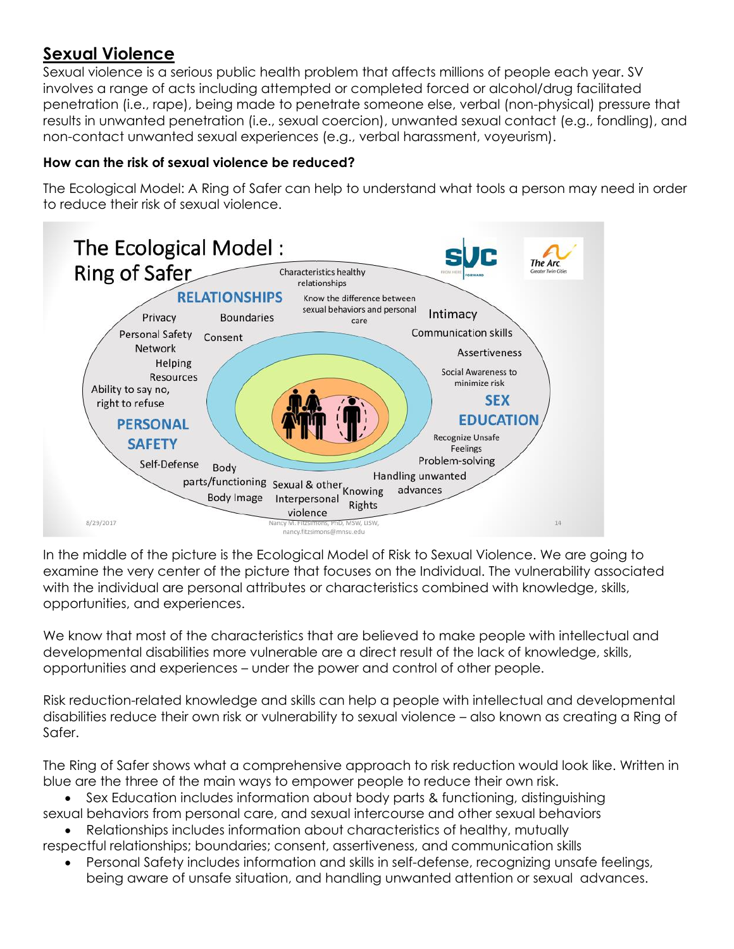# **Sexual Violence**

Sexual violence is a serious public health problem that affects millions of people each year. SV involves a range of acts including attempted or completed forced or alcohol/drug facilitated penetration (i.e., rape), being made to penetrate someone else, verbal (non-physical) pressure that results in unwanted penetration (i.e., sexual coercion), unwanted sexual contact (e.g., fondling), and non-contact unwanted sexual experiences (e.g., verbal harassment, voyeurism).

### **How can the risk of sexual violence be reduced?**

The Ecological Model: A Ring of Safer can help to understand what tools a person may need in order to reduce their risk of sexual violence.



In the middle of the picture is the Ecological Model of Risk to Sexual Violence. We are going to examine the very center of the picture that focuses on the Individual. The vulnerability associated with the individual are personal attributes or characteristics combined with knowledge, skills, opportunities, and experiences.

We know that most of the characteristics that are believed to make people with intellectual and developmental disabilities more vulnerable are a direct result of the lack of knowledge, skills, opportunities and experiences – under the power and control of other people.

Risk reduction-related knowledge and skills can help a people with intellectual and developmental disabilities reduce their own risk or vulnerability to sexual violence – also known as creating a Ring of Safer.

The Ring of Safer shows what a comprehensive approach to risk reduction would look like. Written in blue are the three of the main ways to empower people to reduce their own risk.

• Sex Education includes information about body parts & functioning, distinguishing sexual behaviors from personal care, and sexual intercourse and other sexual behaviors

- Relationships includes information about characteristics of healthy, mutually
- respectful relationships; boundaries; consent, assertiveness, and communication skills • Personal Safety includes information and skills in self-defense, recognizing unsafe feelings,
	- being aware of unsafe situation, and handling unwanted attention or sexual advances.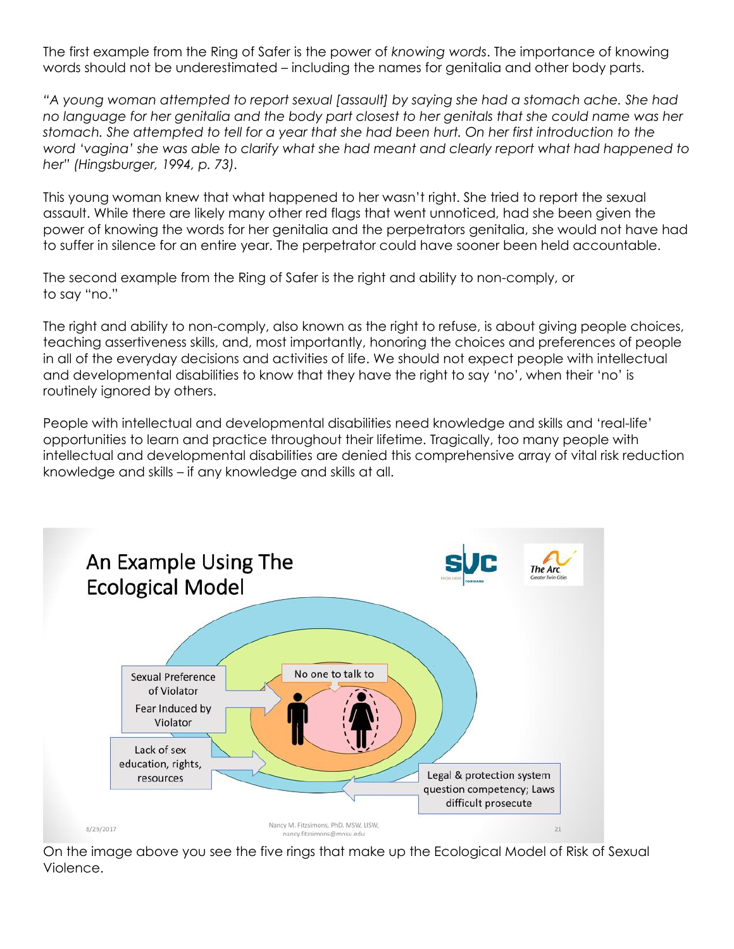The first example from the Ring of Safer is the power of *knowing words*. The importance of knowing words should not be underestimated – including the names for genitalia and other body parts.

*"A young woman attempted to report sexual [assault] by saying she had a stomach ache. She had no language for her genitalia and the body part closest to her genitals that she could name was her stomach. She attempted to tell for a year that she had been hurt. On her first introduction to the word 'vagina' she was able to clarify what she had meant and clearly report what had happened to her" (Hingsburger, 1994, p. 73).*

This young woman knew that what happened to her wasn't right. She tried to report the sexual assault. While there are likely many other red flags that went unnoticed, had she been given the power of knowing the words for her genitalia and the perpetrators genitalia, she would not have had to suffer in silence for an entire year. The perpetrator could have sooner been held accountable.

The second example from the Ring of Safer is the right and ability to non-comply, or to say "no."

The right and ability to non-comply, also known as the right to refuse, is about giving people choices, teaching assertiveness skills, and, most importantly, honoring the choices and preferences of people in all of the everyday decisions and activities of life. We should not expect people with intellectual and developmental disabilities to know that they have the right to say 'no', when their 'no' is routinely ignored by others.

People with intellectual and developmental disabilities need knowledge and skills and 'real-life' opportunities to learn and practice throughout their lifetime. Tragically, too many people with intellectual and developmental disabilities are denied this comprehensive array of vital risk reduction knowledge and skills – if any knowledge and skills at all.



On the image above you see the five rings that make up the Ecological Model of Risk of Sexual Violence.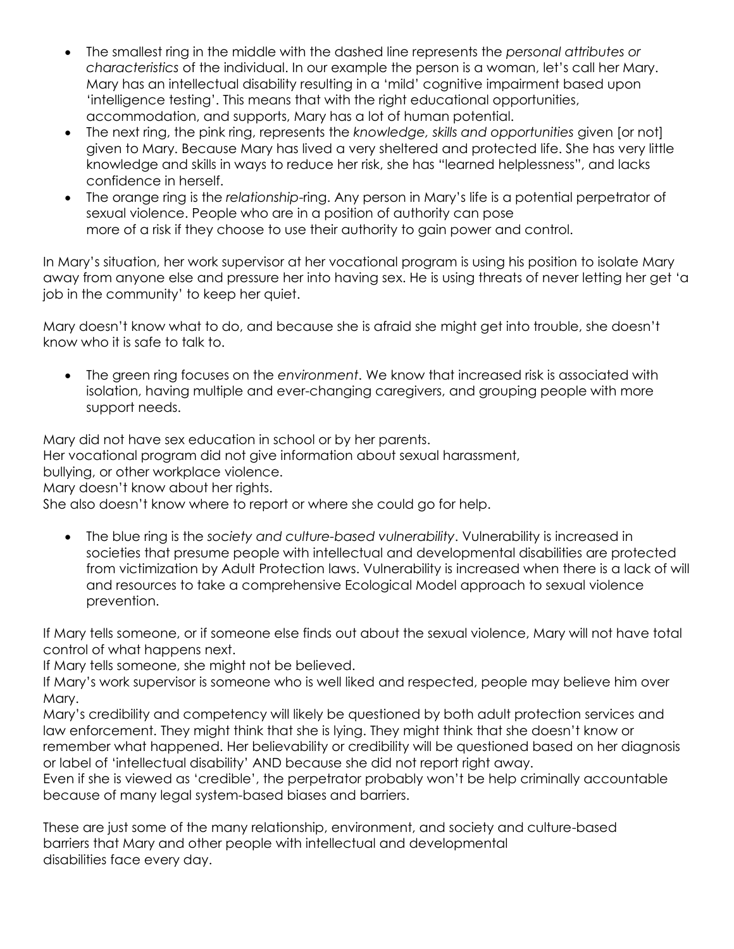- The smallest ring in the middle with the dashed line represents the *personal attributes or characteristics* of the individual. In our example the person is a woman, let's call her Mary. Mary has an intellectual disability resulting in a 'mild' cognitive impairment based upon 'intelligence testing'. This means that with the right educational opportunities, accommodation, and supports, Mary has a lot of human potential.
- The next ring, the pink ring, represents the *knowledge, skills and opportunities* given [or not] given to Mary. Because Mary has lived a very sheltered and protected life. She has very little knowledge and skills in ways to reduce her risk, she has "learned helplessness", and lacks confidence in herself.
- The orange ring is the *relationship*-ring. Any person in Mary's life is a potential perpetrator of sexual violence. People who are in a position of authority can pose more of a risk if they choose to use their authority to gain power and control.

In Mary's situation, her work supervisor at her vocational program is using his position to isolate Mary away from anyone else and pressure her into having sex. He is using threats of never letting her get 'a job in the community' to keep her quiet.

Mary doesn't know what to do, and because she is afraid she might get into trouble, she doesn't know who it is safe to talk to.

• The green ring focuses on the *environment*. We know that increased risk is associated with isolation, having multiple and ever-changing caregivers, and grouping people with more support needs.

Mary did not have sex education in school or by her parents.

Her vocational program did not give information about sexual harassment,

bullying, or other workplace violence.

Mary doesn't know about her riahts.

She also doesn't know where to report or where she could go for help.

• The blue ring is the *society and culture-based vulnerability*. Vulnerability is increased in societies that presume people with intellectual and developmental disabilities are protected from victimization by Adult Protection laws. Vulnerability is increased when there is a lack of will and resources to take a comprehensive Ecological Model approach to sexual violence prevention.

If Mary tells someone, or if someone else finds out about the sexual violence, Mary will not have total control of what happens next.

If Mary tells someone, she might not be believed.

If Mary's work supervisor is someone who is well liked and respected, people may believe him over Mary.

Mary's credibility and competency will likely be questioned by both adult protection services and law enforcement. They might think that she is lying. They might think that she doesn't know or remember what happened. Her believability or credibility will be questioned based on her diagnosis or label of 'intellectual disability' AND because she did not report right away.

Even if she is viewed as 'credible', the perpetrator probably won't be help criminally accountable because of many legal system-based biases and barriers.

These are just some of the many relationship, environment, and society and culture-based barriers that Mary and other people with intellectual and developmental disabilities face every day.